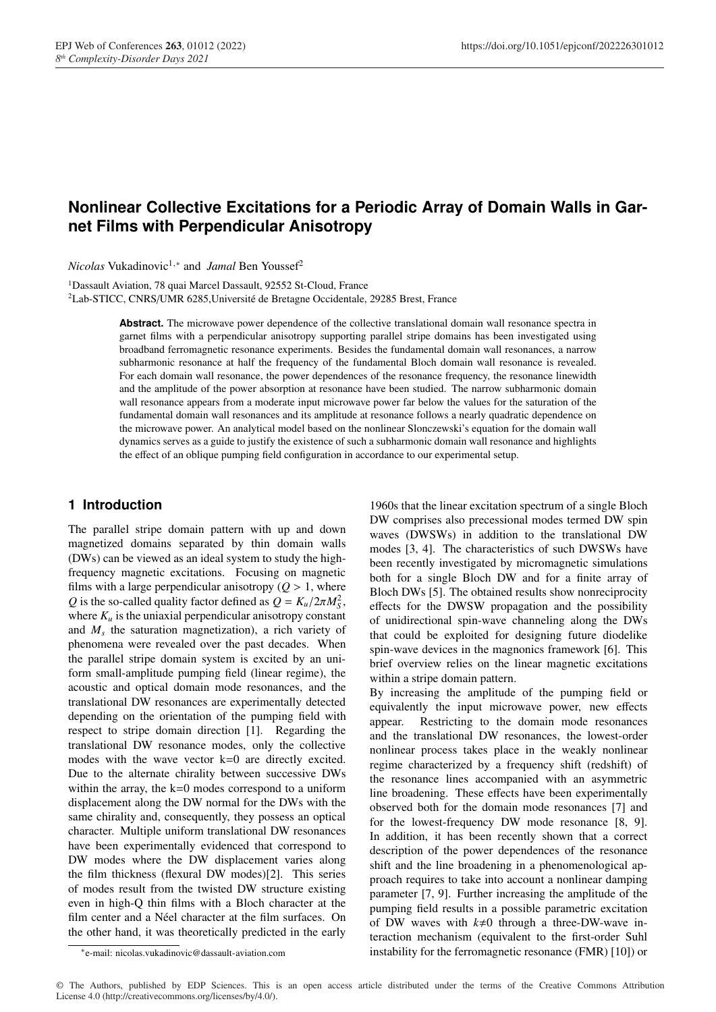# **Nonlinear Collective Excitations for a Periodic Array of Domain Walls in Garnet Films with Perpendicular Anisotropy**

*Nicolas* Vukadinovic<sup>1,∗</sup> and *Jamal* Ben Youssef<sup>2</sup>

<sup>1</sup>Dassault Aviation, 78 quai Marcel Dassault, 92552 St-Cloud, France 2Lab-STICC, CNRS/UMR 6285,Université de Bretagne Occidentale, 29285 Brest, France

> **Abstract.** The microwave power dependence of the collective translational domain wall resonance spectra in garnet films with a perpendicular anisotropy supporting parallel stripe domains has been investigated using broadband ferromagnetic resonance experiments. Besides the fundamental domain wall resonances, a narrow subharmonic resonance at half the frequency of the fundamental Bloch domain wall resonance is revealed. For each domain wall resonance, the power dependences of the resonance frequency, the resonance linewidth and the amplitude of the power absorption at resonance have been studied. The narrow subharmonic domain wall resonance appears from a moderate input microwave power far below the values for the saturation of the fundamental domain wall resonances and its amplitude at resonance follows a nearly quadratic dependence on the microwave power. An analytical model based on the nonlinear Slonczewski's equation for the domain wall dynamics serves as a guide to justify the existence of such a subharmonic domain wall resonance and highlights the effect of an oblique pumping field configuration in accordance to our experimental setup.

# **1 Introduction**

The parallel stripe domain pattern with up and down magnetized domains separated by thin domain walls (DWs) can be viewed as an ideal system to study the highfrequency magnetic excitations. Focusing on magnetic films with a large perpendicular anisotropy  $(Q > 1)$ , where *Q* is the so-called quality factor defined as  $Q = K_u/2\pi M_S^2$ , where  $K_u$  is the uniaxial perpendicular anisotropy constant and  $M<sub>s</sub>$  the saturation magnetization), a rich variety of phenomena were revealed over the past decades. When the parallel stripe domain system is excited by an uniform small-amplitude pumping field (linear regime), the acoustic and optical domain mode resonances, and the translational DW resonances are experimentally detected depending on the orientation of the pumping field with respect to stripe domain direction [1]. Regarding the translational DW resonance modes, only the collective modes with the wave vector k=0 are directly excited. Due to the alternate chirality between successive DWs within the array, the k=0 modes correspond to a uniform displacement along the DW normal for the DWs with the same chirality and, consequently, they possess an optical character. Multiple uniform translational DW resonances have been experimentally evidenced that correspond to DW modes where the DW displacement varies along the film thickness (flexural DW modes)[2]. This series of modes result from the twisted DW structure existing even in high-Q thin films with a Bloch character at the film center and a Néel character at the film surfaces. On the other hand, it was theoretically predicted in the early

1960s that the linear excitation spectrum of a single Bloch DW comprises also precessional modes termed DW spin waves (DWSWs) in addition to the translational DW modes [3, 4]. The characteristics of such DWSWs have been recently investigated by micromagnetic simulations both for a single Bloch DW and for a finite array of Bloch DWs [5]. The obtained results show nonreciprocity effects for the DWSW propagation and the possibility of unidirectional spin-wave channeling along the DWs that could be exploited for designing future diodelike spin-wave devices in the magnonics framework [6]. This brief overview relies on the linear magnetic excitations within a stripe domain pattern.

By increasing the amplitude of the pumping field or equivalently the input microwave power, new effects appear. Restricting to the domain mode resonances and the translational DW resonances, the lowest-order nonlinear process takes place in the weakly nonlinear regime characterized by a frequency shift (redshift) of the resonance lines accompanied with an asymmetric line broadening. These effects have been experimentally observed both for the domain mode resonances [7] and for the lowest-frequency DW mode resonance [8, 9]. In addition, it has been recently shown that a correct description of the power dependences of the resonance shift and the line broadening in a phenomenological approach requires to take into account a nonlinear damping parameter [7, 9]. Further increasing the amplitude of the pumping field results in a possible parametric excitation of DW waves with  $k\neq 0$  through a three-DW-wave interaction mechanism (equivalent to the first-order Suhl instability for the ferromagnetic resonance (FMR) [10]) or

<sup>∗</sup>e-mail: nicolas.vukadinovic@dassault-aviation.com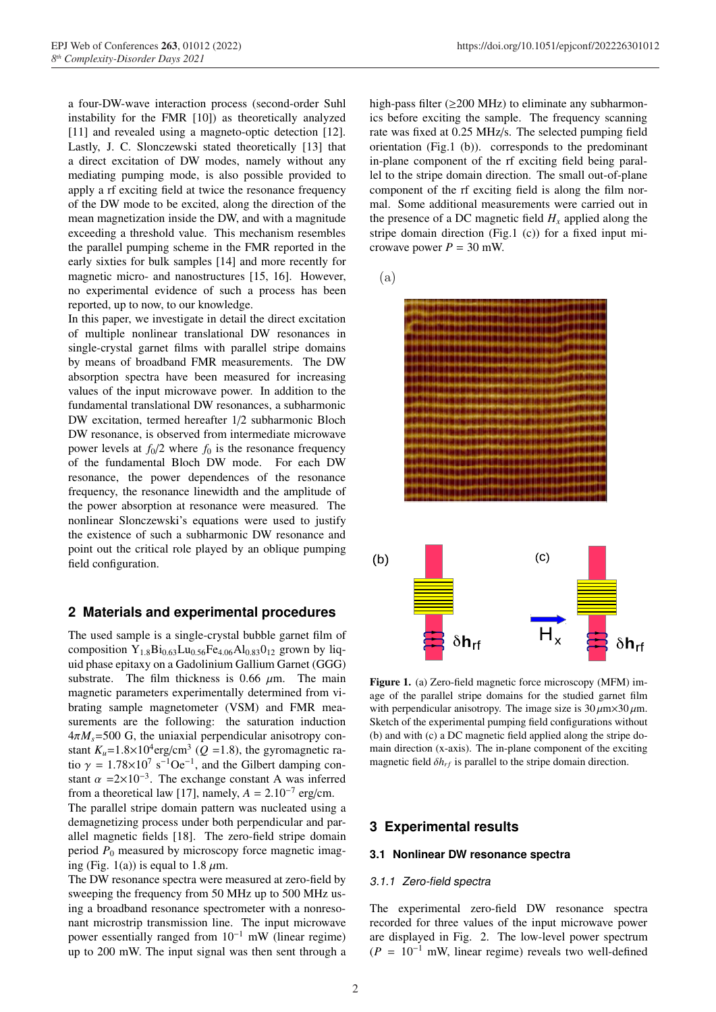a four-DW-wave interaction process (second-order Suhl instability for the FMR [10]) as theoretically analyzed [11] and revealed using a magneto-optic detection [12]. Lastly, J. C. Slonczewski stated theoretically [13] that a direct excitation of DW modes, namely without any mediating pumping mode, is also possible provided to apply a rf exciting field at twice the resonance frequency of the DW mode to be excited, along the direction of the mean magnetization inside the DW, and with a magnitude exceeding a threshold value. This mechanism resembles the parallel pumping scheme in the FMR reported in the early sixties for bulk samples [14] and more recently for magnetic micro- and nanostructures [15, 16]. However, no experimental evidence of such a process has been reported, up to now, to our knowledge.

In this paper, we investigate in detail the direct excitation of multiple nonlinear translational DW resonances in single-crystal garnet films with parallel stripe domains by means of broadband FMR measurements. The DW absorption spectra have been measured for increasing values of the input microwave power. In addition to the fundamental translational DW resonances, a subharmonic DW excitation, termed hereafter 1/2 subharmonic Bloch DW resonance, is observed from intermediate microwave power levels at  $f_0/2$  where  $f_0$  is the resonance frequency of the fundamental Bloch DW mode. For each DW resonance, the power dependences of the resonance frequency, the resonance linewidth and the amplitude of the power absorption at resonance were measured. The nonlinear Slonczewski's equations were used to justify the existence of such a subharmonic DW resonance and point out the critical role played by an oblique pumping field configuration.

# **2 Materials and experimental procedures**

The used sample is a single-crystal bubble garnet film of composition  $Y_{1.8}Bi_{0.63}Lu_{0.56}Fe_{4.06}Al_{0.83}O_{12}$  grown by liquid phase epitaxy on a Gadolinium Gallium Garnet (GGG) substrate. The film thickness is 0.66  $\mu$ m. The main magnetic parameters experimentally determined from vibrating sample magnetometer (VSM) and FMR measurements are the following: the saturation induction  $4\pi M_s$ =500 G, the uniaxial perpendicular anisotropy constant  $K_u$ =1.8×10<sup>4</sup>erg/cm<sup>3</sup> (Q =1.8), the gyromagnetic ratio  $\gamma = 1.78 \times 10^7 \text{ s}^{-1} \text{O} \text{e}^{-1}$ , and the Gilbert damping constant  $\alpha$  =2×10<sup>-3</sup>. The exchange constant A was inferred from a theoretical law [17], namely,  $A = 2.10^{-7}$  erg/cm.

The parallel stripe domain pattern was nucleated using a demagnetizing process under both perpendicular and parallel magnetic fields [18]. The zero-field stripe domain period  $P_0$  measured by microscopy force magnetic imaging (Fig. 1(a)) is equal to 1.8  $\mu$ m.

The DW resonance spectra were measured at zero-field by sweeping the frequency from 50 MHz up to 500 MHz using a broadband resonance spectrometer with a nonresonant microstrip transmission line. The input microwave power essentially ranged from 10<sup>−</sup><sup>1</sup> mW (linear regime) up to 200 mW. The input signal was then sent through a

high-pass filter ( $\geq$ 200 MHz) to eliminate any subharmonics before exciting the sample. The frequency scanning rate was fixed at 0.25 MHz/s. The selected pumping field orientation (Fig.1 (b)). corresponds to the predominant in-plane component of the rf exciting field being parallel to the stripe domain direction. The small out-of-plane component of the rf exciting field is along the film normal. Some additional measurements were carried out in the presence of a DC magnetic field  $H<sub>x</sub>$  applied along the stripe domain direction (Fig.1 (c)) for a fixed input microwave power  $P = 30$  mW.



Figure 1. (a) Zero-field magnetic force microscopy (MFM) image of the parallel stripe domains for the studied garnet film with perpendicular anisotropy. The image size is  $30 \mu m \times 30 \mu m$ . Sketch of the experimental pumping field configurations without (b) and with (c) a DC magnetic field applied along the stripe domain direction (x-axis). The in-plane component of the exciting magnetic field  $\delta h_{rf}$  is parallel to the stripe domain direction.

# **3 Experimental results**

#### **3.1 Nonlinear DW resonance spectra**

#### 3.1.1 Zero-field spectra

The experimental zero-field DW resonance spectra recorded for three values of the input microwave power are displayed in Fig. 2. The low-level power spectrum  $(P = 10^{-1}$  mW, linear regime) reveals two well-defined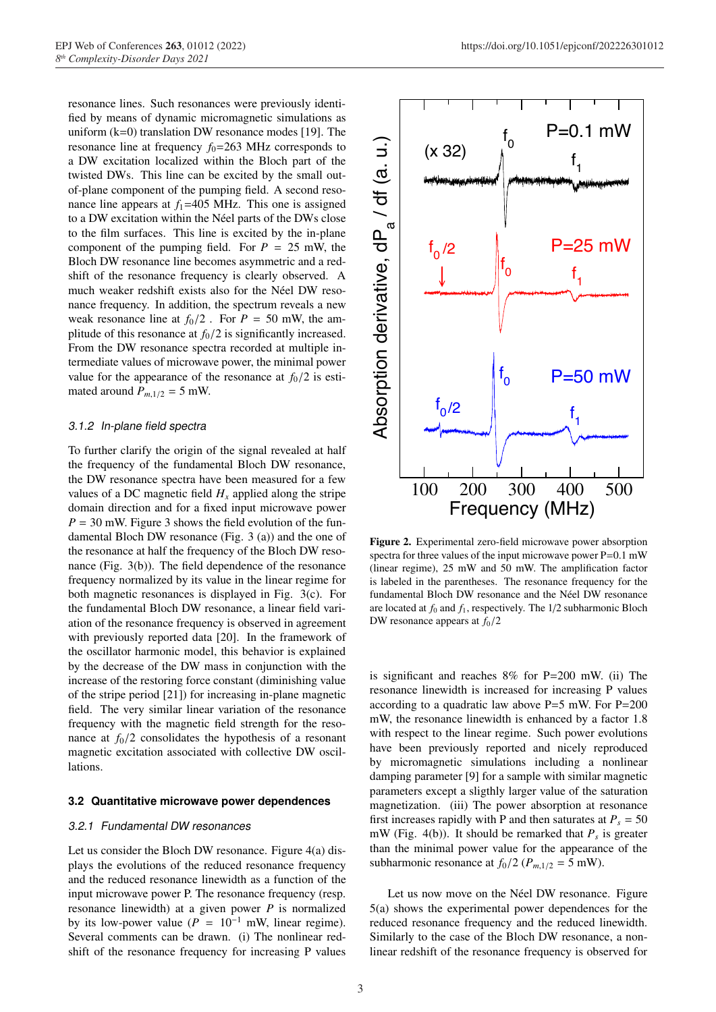resonance lines. Such resonances were previously identified by means of dynamic micromagnetic simulations as uniform  $(k=0)$  translation DW resonance modes [19]. The resonance line at frequency  $f_0$ =263 MHz corresponds to a DW excitation localized within the Bloch part of the twisted DWs. This line can be excited by the small outof-plane component of the pumping field. A second resonance line appears at  $f_1$ =405 MHz. This one is assigned to a DW excitation within the Néel parts of the DWs close to the film surfaces. This line is excited by the in-plane component of the pumping field. For  $P = 25$  mW, the Bloch DW resonance line becomes asymmetric and a redshift of the resonance frequency is clearly observed. A much weaker redshift exists also for the Néel DW resonance frequency. In addition, the spectrum reveals a new weak resonance line at  $f_0/2$ . For  $P = 50$  mW, the amplitude of this resonance at  $f<sub>0</sub>/2$  is significantly increased. From the DW resonance spectra recorded at multiple intermediate values of microwave power, the minimal power value for the appearance of the resonance at  $f_0/2$  is estimated around  $P_{m,1/2} = 5$  mW.

# 3.1.2 In-plane field spectra

To further clarify the origin of the signal revealed at half the frequency of the fundamental Bloch DW resonance, the DW resonance spectra have been measured for a few values of a DC magnetic field  $H_x$  applied along the stripe domain direction and for a fixed input microwave power  $P = 30$  mW. Figure 3 shows the field evolution of the fundamental Bloch DW resonance (Fig. 3 (a)) and the one of the resonance at half the frequency of the Bloch DW resonance (Fig. 3(b)). The field dependence of the resonance frequency normalized by its value in the linear regime for both magnetic resonances is displayed in Fig. 3(c). For the fundamental Bloch DW resonance, a linear field variation of the resonance frequency is observed in agreement with previously reported data [20]. In the framework of the oscillator harmonic model, this behavior is explained by the decrease of the DW mass in conjunction with the increase of the restoring force constant (diminishing value of the stripe period [21]) for increasing in-plane magnetic field. The very similar linear variation of the resonance frequency with the magnetic field strength for the resonance at  $f<sub>0</sub>/2$  consolidates the hypothesis of a resonant magnetic excitation associated with collective DW oscillations.

#### **3.2 Quantitative microwave power dependences**

#### 3.2.1 Fundamental DW resonances

Let us consider the Bloch DW resonance. Figure 4(a) displays the evolutions of the reduced resonance frequency and the reduced resonance linewidth as a function of the input microwave power P. The resonance frequency (resp. resonance linewidth) at a given power *P* is normalized by its low-power value ( $\overline{P} = 10^{-1}$  mW, linear regime). Several comments can be drawn. (i) The nonlinear redshift of the resonance frequency for increasing P values



Figure 2. Experimental zero-field microwave power absorption spectra for three values of the input microwave power P=0.1 mW (linear regime), 25 mW and 50 mW. The amplification factor is labeled in the parentheses. The resonance frequency for the fundamental Bloch DW resonance and the Néel DW resonance are located at  $f_0$  and  $f_1$ , respectively. The  $1/2$  subharmonic Bloch DW resonance appears at  $f_0/2$ 

is significant and reaches 8% for P=200 mW. (ii) The resonance linewidth is increased for increasing P values according to a quadratic law above  $P=5$  mW. For  $P=200$ mW, the resonance linewidth is enhanced by a factor 1.8 with respect to the linear regime. Such power evolutions have been previously reported and nicely reproduced by micromagnetic simulations including a nonlinear damping parameter [9] for a sample with similar magnetic parameters except a sligthly larger value of the saturation magnetization. (iii) The power absorption at resonance first increases rapidly with P and then saturates at  $P_s = 50$ mW (Fig. 4(b)). It should be remarked that  $P_s$  is greater than the minimal power value for the appearance of the subharmonic resonance at  $f_0/2$  ( $P_{m,1/2} = 5$  mW).

Let us now move on the Néel DW resonance. Figure 5(a) shows the experimental power dependences for the reduced resonance frequency and the reduced linewidth. Similarly to the case of the Bloch DW resonance, a nonlinear redshift of the resonance frequency is observed for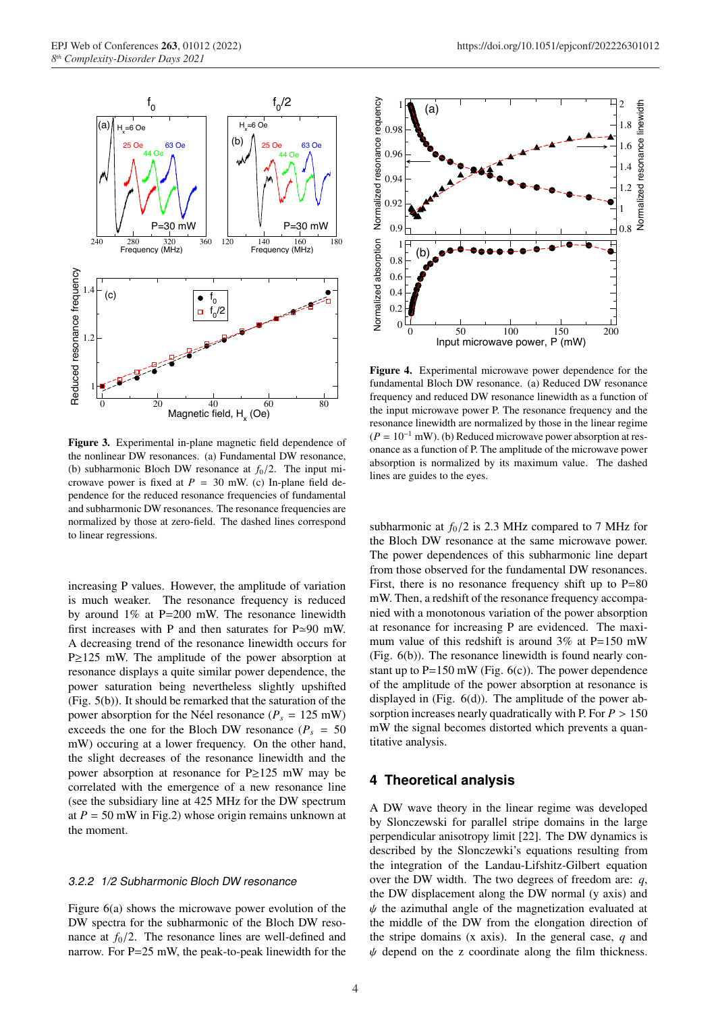

Figure 3. Experimental in-plane magnetic field dependence of the nonlinear DW resonances. (a) Fundamental DW resonance, (b) subharmonic Bloch DW resonance at  $f<sub>0</sub>/2$ . The input microwave power is fixed at  $P = 30$  mW. (c) In-plane field dependence for the reduced resonance frequencies of fundamental and subharmonic DW resonances. The resonance frequencies are normalized by those at zero-field. The dashed lines correspond to linear regressions.

increasing P values. However, the amplitude of variation is much weaker. The resonance frequency is reduced by around 1% at P=200 mW. The resonance linewidth first increases with P and then saturates for P≃90 mW. A decreasing trend of the resonance linewidth occurs for P≥125 mW. The amplitude of the power absorption at resonance displays a quite similar power dependence, the power saturation being nevertheless slightly upshifted (Fig. 5(b)). It should be remarked that the saturation of the power absorption for the Néel resonance ( $P_s = 125$  mW) exceeds the one for the Bloch DW resonance ( $P_s = 50$ ) mW) occuring at a lower frequency. On the other hand, the slight decreases of the resonance linewidth and the power absorption at resonance for P≥125 mW may be correlated with the emergence of a new resonance line (see the subsidiary line at 425 MHz for the DW spectrum at  $P = 50$  mW in Fig.2) whose origin remains unknown at the moment.

### 3.2.2 1/2 Subharmonic Bloch DW resonance

Figure 6(a) shows the microwave power evolution of the DW spectra for the subharmonic of the Bloch DW resonance at  $f_0/2$ . The resonance lines are well-defined and narrow. For P=25 mW, the peak-to-peak linewidth for the



Figure 4. Experimental microwave power dependence for the fundamental Bloch DW resonance. (a) Reduced DW resonance frequency and reduced DW resonance linewidth as a function of the input microwave power P. The resonance frequency and the resonance linewidth are normalized by those in the linear regime  $(P = 10^{-1}$  mW). (b) Reduced microwave power absorption at resonance as a function of P. The amplitude of the microwave power absorption is normalized by its maximum value. The dashed lines are guides to the eyes.

subharmonic at  $f_0/2$  is 2.3 MHz compared to 7 MHz for the Bloch DW resonance at the same microwave power. The power dependences of this subharmonic line depart from those observed for the fundamental DW resonances. First, there is no resonance frequency shift up to  $P=80$ mW. Then, a redshift of the resonance frequency accompanied with a monotonous variation of the power absorption at resonance for increasing P are evidenced. The maximum value of this redshift is around  $3\%$  at P=150 mW (Fig. 6(b)). The resonance linewidth is found nearly constant up to  $P=150$  mW (Fig. 6(c)). The power dependence of the amplitude of the power absorption at resonance is displayed in (Fig. 6(d)). The amplitude of the power absorption increases nearly quadratically with P. For *P* > 150 mW the signal becomes distorted which prevents a quantitative analysis.

### **4 Theoretical analysis**

A DW wave theory in the linear regime was developed by Slonczewski for parallel stripe domains in the large perpendicular anisotropy limit [22]. The DW dynamics is described by the Slonczewki's equations resulting from the integration of the Landau-Lifshitz-Gilbert equation over the DW width. The two degrees of freedom are: *q*, the DW displacement along the DW normal (y axis) and  $\psi$  the azimuthal angle of the magnetization evaluated at the middle of the DW from the elongation direction of the stripe domains (x axis). In the general case, *q* and  $\psi$  depend on the z coordinate along the film thickness.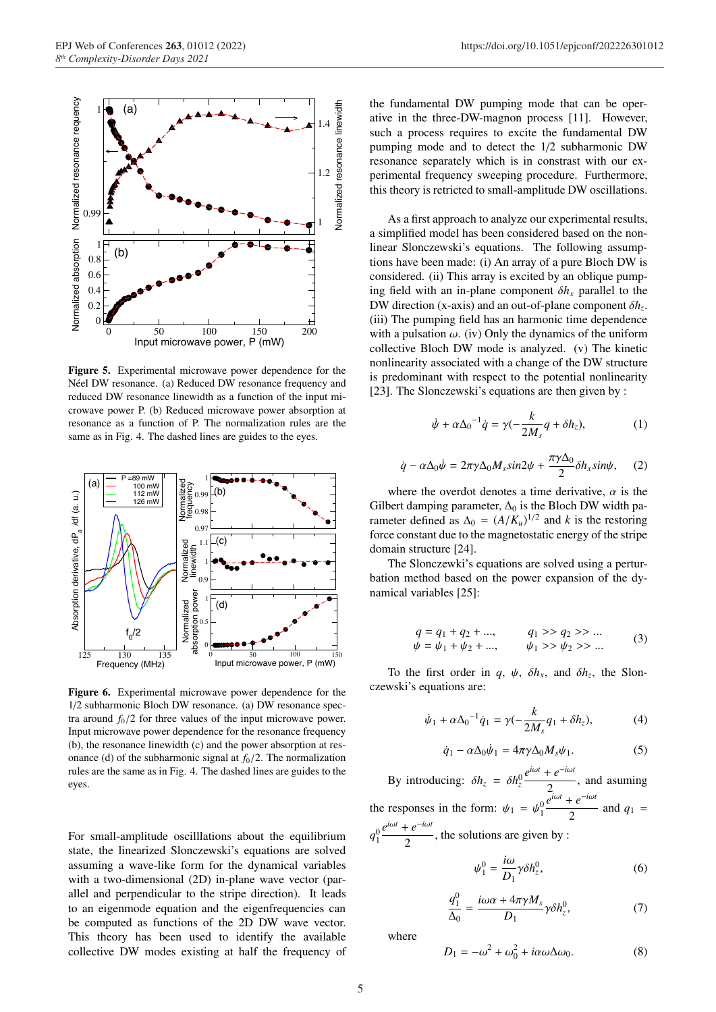

Figure 5. Experimental microwave power dependence for the Néel DW resonance. (a) Reduced DW resonance frequency and reduced DW resonance linewidth as a function of the input microwave power P. (b) Reduced microwave power absorption at resonance as a function of P. The normalization rules are the same as in Fig. 4. The dashed lines are guides to the eyes.



Figure 6. Experimental microwave power dependence for the 1/2 subharmonic Bloch DW resonance. (a) DW resonance spectra around  $f_0/2$  for three values of the input microwave power. Input microwave power dependence for the resonance frequency (b), the resonance linewidth (c) and the power absorption at resonance (d) of the subharmonic signal at  $f<sub>0</sub>/2$ . The normalization rules are the same as in Fig. 4. The dashed lines are guides to the eyes.

For small-amplitude oscilllations about the equilibrium state, the linearized Slonczewski's equations are solved assuming a wave-like form for the dynamical variables with a two-dimensional (2D) in-plane wave vector (parallel and perpendicular to the stripe direction). It leads to an eigenmode equation and the eigenfrequencies can be computed as functions of the 2D DW wave vector. This theory has been used to identify the available collective DW modes existing at half the frequency of the fundamental DW pumping mode that can be operative in the three-DW-magnon process [11]. However, such a process requires to excite the fundamental DW pumping mode and to detect the 1/2 subharmonic DW resonance separately which is in constrast with our experimental frequency sweeping procedure. Furthermore, this theory is retricted to small-amplitude DW oscillations.

As a first approach to analyze our experimental results, a simplified model has been considered based on the nonlinear Slonczewski's equations. The following assumptions have been made: (i) An array of a pure Bloch DW is considered. (ii) This array is excited by an oblique pumping field with an in-plane component  $\delta h_x$  parallel to the DW direction (x-axis) and an out-of-plane component δ*hz*. (iii) The pumping field has an harmonic time dependence with a pulsation  $\omega$ . (iv) Only the dynamics of the uniform collective Bloch DW mode is analyzed. (v) The kinetic nonlinearity associated with a change of the DW structure is predominant with respect to the potential nonlinearity [23]. The Slonczewski's equations are then given by :

$$
\dot{\psi} + \alpha \Delta_0^{-1} \dot{q} = \gamma \left( -\frac{k}{2M_s} q + \delta h_z \right),\tag{1}
$$

$$
\dot{q} - \alpha \Delta_0 \dot{\psi} = 2\pi \gamma \Delta_0 M_s \sin 2\psi + \frac{\pi \gamma \Delta_0}{2} \delta h_x \sin \psi, \quad (2)
$$

where the overdot denotes a time derivative,  $\alpha$  is the Gilbert damping parameter,  $\Delta_0$  is the Bloch DW width parameter defined as  $\Delta_0 = (A/K_u)^{1/2}$  and *k* is the restoring force constant due to the magnetostatic energy of the stripe domain structure [24].

The Slonczewki's equations are solved using a perturbation method based on the power expansion of the dynamical variables [25]:

$$
q = q_1 + q_2 + \dots, \qquad q_1 > q_2 > \dots
$$
  
\n
$$
\psi = \psi_1 + \psi_2 + \dots, \qquad \psi_1 > \psi_2 > \dots
$$
 (3)

To the first order in *q*,  $\psi$ ,  $\delta h_x$ , and  $\delta h_z$ , the Slonczewski's equations are:

$$
\dot{\psi}_1 + \alpha \Delta_0^{-1} \dot{q}_1 = \gamma (-\frac{k}{2M_s} q_1 + \delta h_z), \tag{4}
$$

$$
\dot{q}_1 - \alpha \Delta_0 \dot{\psi}_1 = 4\pi \gamma \Delta_0 M_s \psi_1. \tag{5}
$$

By introducing:  $\delta h_z = \delta h_z^0$  $e^{i\omega t} + e^{-i\omega t}$  $\frac{c}{2}$ , and asuming the responses in the form:  $\psi_1 = \psi_1^0$  $\overline{e}^{i\omega t} + e^{-i\omega t}$  $\frac{1}{2}$  and  $q_1$  =  $q_1^0$  $e^{i\omega t} + e^{-i\omega t}$  $\frac{1}{2}$ , the solutions are given by :

$$
\psi_1^0 = \frac{i\omega}{D_1} \gamma \delta h_z^0, \tag{6}
$$

$$
\frac{q_1^0}{\Delta_0} = \frac{i\omega\alpha + 4\pi\gamma M_s}{D_1} \gamma \delta h_z^0, \tag{7}
$$

where

$$
D_1 = -\omega^2 + \omega_0^2 + i\alpha\omega\Delta\omega_0.
$$
 (8)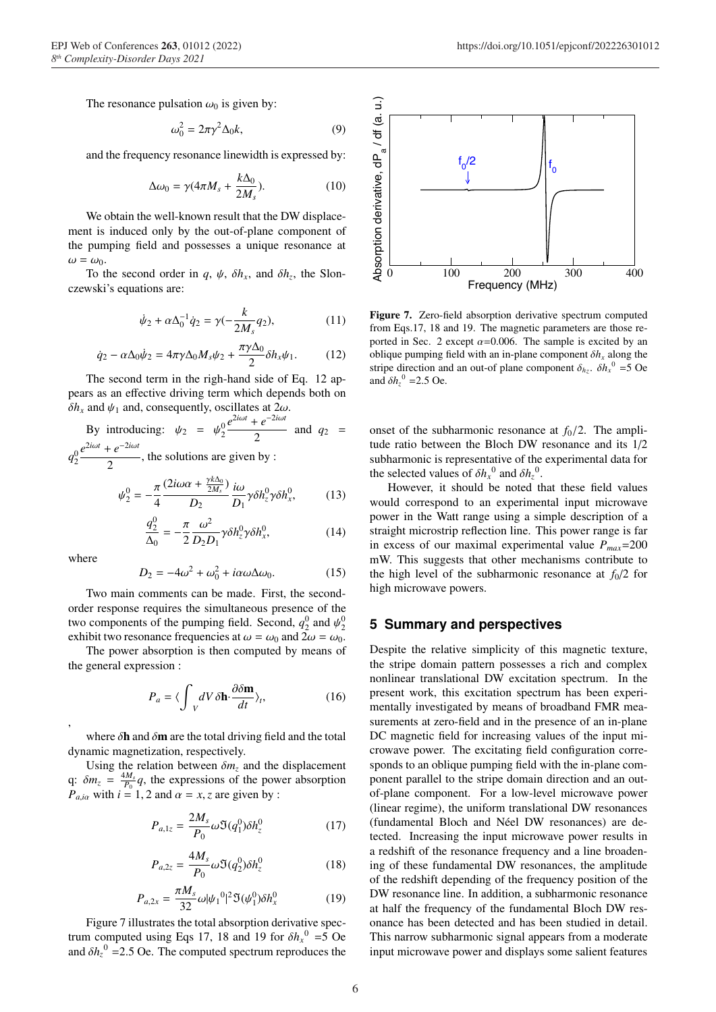The resonance pulsation  $\omega_0$  is given by:

$$
\omega_0^2 = 2\pi \gamma^2 \Delta_0 k,\tag{9}
$$

and the frequency resonance linewidth is expressed by:

$$
\Delta\omega_0 = \gamma (4\pi M_s + \frac{k\Delta_0}{2M_s}).\tag{10}
$$

We obtain the well-known result that the DW displacement is induced only by the out-of-plane component of the pumping field and possesses a unique resonance at  $\omega = \omega_0$ .

To the second order in *q*,  $\psi$ ,  $\delta h_x$ , and  $\delta h_z$ , the Slonczewski's equations are:

$$
\dot{\psi}_2 + \alpha \Delta_0^{-1} \dot{q}_2 = \gamma(-\frac{k}{2M_s} q_2),\tag{11}
$$

$$
\dot{q}_2 - \alpha \Delta_0 \dot{\psi}_2 = 4\pi \gamma \Delta_0 M_s \psi_2 + \frac{\pi \gamma \Delta_0}{2} \delta h_x \psi_1.
$$
 (12)

The second term in the righ-hand side of Eq. 12 appears as an effective driving term which depends both on  $\delta h_x$  and  $\psi_1$  and, consequently, oscillates at  $2\omega$ .

By introducing: 
$$
\psi_2 = \psi_2^0 \frac{e^{2i\omega t} + e^{-2i\omega t}}{2}
$$
 and  $q_2 =$   
 $q_2^0 \frac{e^{2i\omega t} + e^{-2i\omega t}}{2}$ , the solutions are given by :

$$
\psi_2^0 = -\frac{\pi}{4} \frac{(2i\omega\alpha + \frac{\gamma k \Delta_0}{2M_s})}{D_2} \frac{i\omega}{D_1} \gamma \delta h_z^0 \gamma \delta h_x^0, \tag{13}
$$

4 
$$
D_2
$$
  $D_1$ <sup>7</sup> $\omega$ <sup>2</sup> $q_2$  (14)

$$
\frac{q_2^0}{\Delta_0} = -\frac{\pi}{2} \frac{\omega^2}{D_2 D_1} \gamma \delta h_z^0 \gamma \delta h_x^0, \tag{14}
$$

where

,

$$
D_2 = -4\omega^2 + \omega_0^2 + i\alpha\omega\Delta\omega_0. \tag{15}
$$

Two main comments can be made. First, the secondorder response requires the simultaneous presence of the two components of the pumping field. Second,  $q_2^0$  and  $\psi_2^0$ exhibit two resonance frequencies at  $\omega = \omega_0$  and  $2\omega = \omega_0$ .

The power absorption is then computed by means of the general expression :

$$
P_a = \langle \int_{V} dV \, \delta \mathbf{h} \cdot \frac{\partial \delta \mathbf{m}}{dt} \rangle_t, \tag{16}
$$

where  $\delta$ **h** and  $\delta$ **m** are the total driving field and the total dynamic magnetization, respectively.

Using the relation between  $\delta m_z$  and the displacement q:  $\delta m_z = \frac{4M_s}{P_0}q$ , the expressions of the power absorption  $P_{a,i\alpha}$  with  $i = 1, 2$  and  $\alpha = x, z$  are given by :

$$
P_{a,1z} = \frac{2M_s}{P_0} \omega \mathfrak{I}(q_1^0) \delta h_z^0 \tag{17}
$$

$$
P_{a,2z} = \frac{4M_s}{P_0} \omega \mathfrak{I}(q_2^0) \delta h_z^0 \tag{18}
$$

$$
P_{a,2x} = \frac{\pi M_s}{32} \omega |\psi_1^0|^2 \Im(\psi_1^0) \delta h_x^0 \tag{19}
$$

Figure 7 illustrates the total absorption derivative spectrum computed using Eqs 17, 18 and 19 for  $\delta h_x^0 = 5$  Oe and  $\delta h_z^0$  =2.5 Oe. The computed spectrum reproduces the



Figure 7. Zero-field absorption derivative spectrum computed from Eqs.17, 18 and 19. The magnetic parameters are those reported in Sec. 2 except  $\alpha$ =0.006. The sample is excited by an oblique pumping field with an in-plane component  $\delta h_x$  along the stripe direction and an out-of plane component  $\delta_{hz}$ .  $\delta h_x^0 = 5$  Oe and  $\delta h_z^0$  = 2.5 Oe.

onset of the subharmonic resonance at  $f<sub>0</sub>/2$ . The amplitude ratio between the Bloch DW resonance and its 1/2 subharmonic is representative of the experimental data for the selected values of  $\delta h_x^0$  and  $\delta h_z^0$ .

However, it should be noted that these field values would correspond to an experimental input microwave power in the Watt range using a simple description of a straight microstrip reflection line. This power range is far in excess of our maximal experimental value  $P_{max}$ =200 mW. This suggests that other mechanisms contribute to the high level of the subharmonic resonance at  $f_0/2$  for high microwave powers.

# **5 Summary and perspectives**

Despite the relative simplicity of this magnetic texture, the stripe domain pattern possesses a rich and complex nonlinear translational DW excitation spectrum. In the present work, this excitation spectrum has been experimentally investigated by means of broadband FMR measurements at zero-field and in the presence of an in-plane DC magnetic field for increasing values of the input microwave power. The excitating field configuration corresponds to an oblique pumping field with the in-plane component parallel to the stripe domain direction and an outof-plane component. For a low-level microwave power (linear regime), the uniform translational DW resonances (fundamental Bloch and Néel DW resonances) are detected. Increasing the input microwave power results in a redshift of the resonance frequency and a line broadening of these fundamental DW resonances, the amplitude of the redshift depending of the frequency position of the DW resonance line. In addition, a subharmonic resonance at half the frequency of the fundamental Bloch DW resonance has been detected and has been studied in detail. This narrow subharmonic signal appears from a moderate input microwave power and displays some salient features